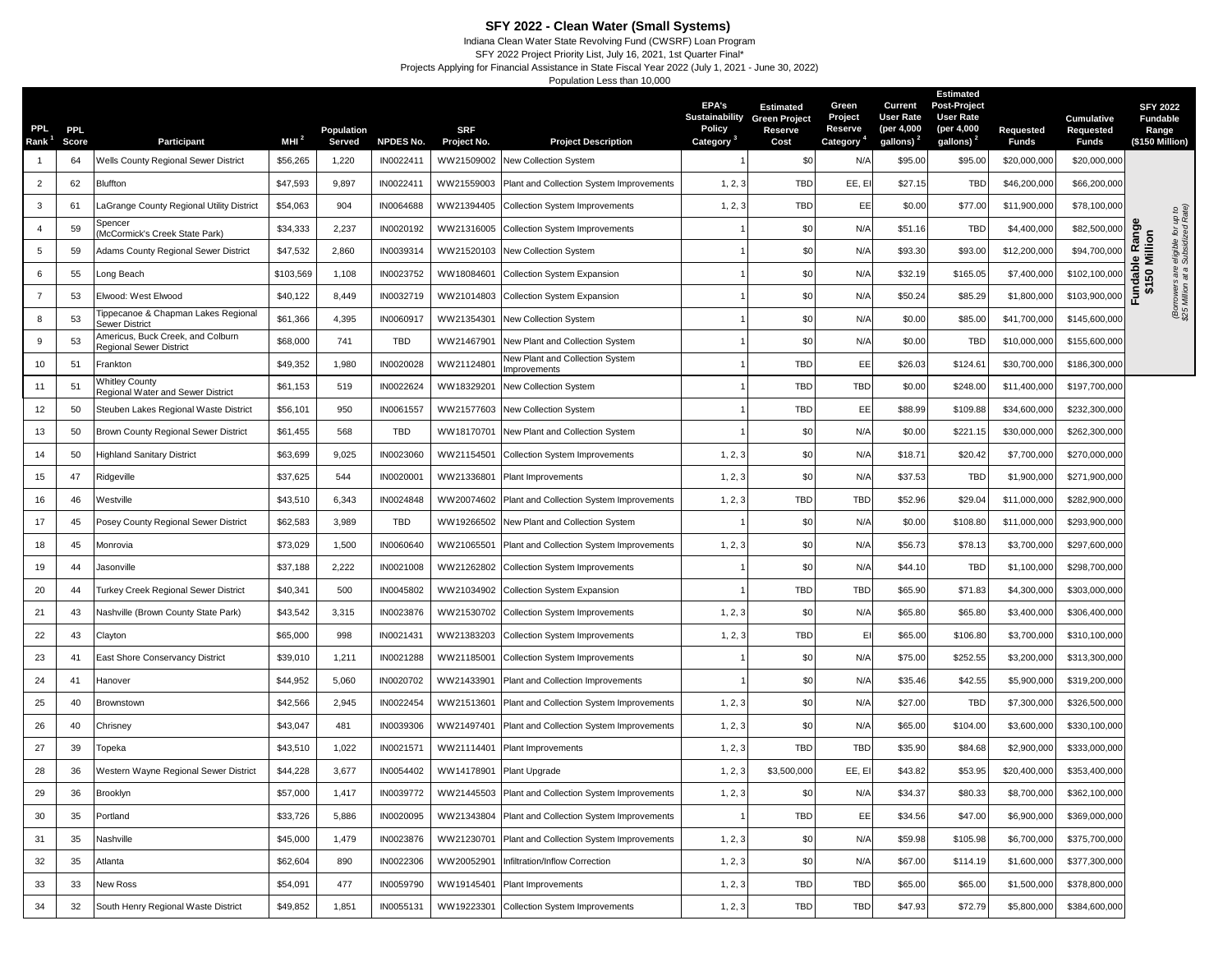## **SFY 2022 - Clean Water (Small Systems)**

Indiana Clean Water State Revolving Fund (CWSRF) Loan Program

SFY 2022 Project Priority List, July 16, 2021, 1st Quarter Final\* Projects Applying for Financial Assistance in State Fiscal Year 2022 (July 1, 2021 - June 30, 2022)

Population Less than 10,000

| PPL<br>Rank <sup>1</sup> | <b>PPL</b><br>Score | Participant                                                  | MHI $^2$  | Population<br>Served | <b>NPDES No.</b> | <b>SRF</b><br>Project No. | <b>Project Description</b>                          | <b>EPA's</b><br>Policy<br>Category | <b>Estimated</b><br><b>Sustainability Green Project</b><br>Reserve<br>Cost | Green<br>Project<br>Reserve<br>Category <sup>4</sup> | Current<br><b>User Rate</b><br>(per 4,000<br>gallons) <sup>2</sup> | <b>Estimated</b><br><b>Post-Project</b><br><b>User Rate</b><br>(per 4,000<br>gallons) <sup>2</sup> | Requested<br>Funds | Cumulative<br>Requested<br><b>Funds</b> | <b>SFY 2022</b><br><b>Fundable</b><br>Range<br>(\$150 Million) |
|--------------------------|---------------------|--------------------------------------------------------------|-----------|----------------------|------------------|---------------------------|-----------------------------------------------------|------------------------------------|----------------------------------------------------------------------------|------------------------------------------------------|--------------------------------------------------------------------|----------------------------------------------------------------------------------------------------|--------------------|-----------------------------------------|----------------------------------------------------------------|
|                          | 64                  | <b>Nells County Regional Sewer District</b>                  | \$56,265  | 1,220                | IN0022411        | WW21509002                | New Collection System                               |                                    | \$0                                                                        | N/A                                                  | \$95.00                                                            | \$95.00                                                                                            | \$20,000,000       | \$20,000,000                            |                                                                |
| 2                        | 62                  | Bluffton                                                     | \$47,593  | 9,897                | IN0022411        | WW21559003                | Plant and Collection System Improvements            | 1, 2, 3                            | <b>TBD</b>                                                                 | EE, EI                                               | \$27.15                                                            | TBD                                                                                                | \$46,200,000       | \$66,200,000                            |                                                                |
| 3                        | 61                  | aGrange County Regional Utility District                     | \$54,063  | 904                  | IN0064688        | WW21394405                | <b>Collection System Improvements</b>               | 1, 2, 3                            | <b>TBD</b>                                                                 | EE                                                   | \$0.00                                                             | \$77.00                                                                                            | \$11,900,000       | \$78,100,000                            |                                                                |
| $\overline{a}$           | 59                  | Spencer<br>McCormick's Creek State Park)                     | \$34,333  | 2,237                | IN0020192        | WW21316005                | <b>Collection System Improvements</b>               |                                    | \$0                                                                        | N/A                                                  | \$51.16                                                            | <b>TBD</b>                                                                                         | \$4,400,000        | \$82,500,000                            | up t<br>for<br>zed                                             |
| 5                        | 59                  | Adams County Regional Sewer District                         | \$47,532  | 2,860                | IN0039314        | WW21520103                | New Collection System                               |                                    | \$0                                                                        | N/A                                                  | \$93.30                                                            | \$93.00                                                                                            | \$12,200,000       | \$94,700,000                            | undable Range<br>\$150 Million<br>eligible 1<br>Subsidiz       |
| 6                        | 55                  | Long Beach                                                   | \$103,569 | 1,108                | IN0023752        | WW18084601                | <b>Collection System Expansion</b>                  |                                    | \$0                                                                        | N/A                                                  | \$32.19                                                            | \$165.05                                                                                           | \$7,400,000        | \$102,100,000                           |                                                                |
| $\overline{7}$           | 53                  | Elwood: West Elwood                                          | \$40,122  | 8,449                | IN0032719        | WW21014803                | Collection System Expansion                         |                                    | \$0                                                                        | N/A                                                  | \$50.24                                                            | \$85.29                                                                                            | \$1,800,000        | \$103,900,000                           | Borrowers<br>\$25 Million<br>ш.                                |
| 8                        | 53                  | Tippecanoe & Chapman Lakes Regional<br>Sewer District        | \$61,366  | 4,395                | IN0060917        | WW21354301                | New Collection System                               |                                    | \$0                                                                        | N/A                                                  | \$0.00                                                             | \$85.00                                                                                            | \$41,700,000       | \$145,600,000                           |                                                                |
| 9                        | 53                  | Americus, Buck Creek, and Colburn<br>Regional Sewer District | \$68,000  | 741                  | <b>TBD</b>       | WW21467901                | New Plant and Collection System                     |                                    | \$0                                                                        | N/A                                                  | \$0.00                                                             | <b>TBD</b>                                                                                         | \$10,000,000       | \$155,600,000                           |                                                                |
| 10                       | 51                  | Frankton                                                     | \$49,352  | 1,980                | IN0020028        | WW2112480 <sup>-</sup>    | New Plant and Collection System<br>Improvements     |                                    | <b>TBD</b>                                                                 | EE                                                   | \$26.03                                                            | \$124.61                                                                                           | \$30,700,000       | \$186,300,000                           |                                                                |
| 11                       | 51                  | <b>Nhitley County</b><br>Regional Water and Sewer District   | \$61,153  | 519                  | IN0022624        | WW18329201                | New Collection System                               |                                    | TBD                                                                        | <b>TBD</b>                                           | \$0.00                                                             | \$248.00                                                                                           | \$11,400,000       | \$197,700,000                           |                                                                |
| 12                       | 50                  | Steuben Lakes Regional Waste District                        | \$56,101  | 950                  | IN0061557        | WW21577603                | New Collection System                               |                                    | <b>TBD</b>                                                                 | EE                                                   | \$88.99                                                            | \$109.88                                                                                           | \$34,600,000       | \$232,300,000                           |                                                                |
| 13                       | 50                  | Brown County Regional Sewer District                         | \$61,455  | 568                  | <b>TBD</b>       | WW18170701                | New Plant and Collection System                     |                                    | \$0                                                                        | N/A                                                  | \$0.00                                                             | \$221.15                                                                                           | \$30,000,000       | \$262,300,000                           |                                                                |
| 14                       | 50                  | Highland Sanitary District                                   | \$63,699  | 9,025                | IN0023060        | WW21154501                | <b>Collection System Improvements</b>               | 1, 2, 3                            | \$0                                                                        | N/A                                                  | \$18.71                                                            | \$20.42                                                                                            | \$7,700,000        | \$270,000,000                           |                                                                |
| 15                       | 47                  | Ridgeville                                                   | \$37,625  | 544                  | IN0020001        | WW21336801                | Plant Improvements                                  | 1, 2, 3                            | \$0                                                                        | N/A                                                  | \$37.53                                                            | <b>TBD</b>                                                                                         | \$1,900,000        | \$271,900,000                           |                                                                |
| 16                       | 46                  | Westville                                                    | \$43,510  | 6,343                | IN0024848        | WW20074602                | Plant and Collection System Improvements            | 1, 2, 3                            | <b>TBD</b>                                                                 | <b>TBD</b>                                           | \$52.96                                                            | \$29.04                                                                                            | \$11,000,000       | \$282,900,000                           |                                                                |
| 17                       | 45                  | Posey County Regional Sewer District                         | \$62,583  | 3,989                | <b>TBD</b>       | WW19266502                | New Plant and Collection System                     |                                    | \$0                                                                        | N/A                                                  | \$0.00                                                             | \$108.80                                                                                           | \$11,000,000       | \$293,900,000                           |                                                                |
| 18                       | 45                  | Monrovia                                                     | \$73,029  | 1,500                | IN0060640        | WW21065501                | Plant and Collection System Improvements            | 1, 2, 3                            | \$0                                                                        | N/A                                                  | \$56.73                                                            | \$78.13                                                                                            | \$3,700,000        | \$297,600,000                           |                                                                |
| 19                       | 44                  | Jasonville                                                   | \$37,188  | 2,222                | IN0021008        | WW21262802                | <b>Collection System Improvements</b>               |                                    | \$0                                                                        | N/A                                                  | \$44.10                                                            | <b>TBD</b>                                                                                         | \$1,100,000        | \$298,700,000                           |                                                                |
| 20                       | 44                  | Turkey Creek Regional Sewer District                         | \$40,341  | 500                  | IN0045802        | WW21034902                | <b>Collection System Expansion</b>                  |                                    | <b>TBD</b>                                                                 | <b>TBD</b>                                           | \$65.90                                                            | \$71.83                                                                                            | \$4,300,000        | \$303,000,000                           |                                                                |
| 21                       | 43                  | Nashville (Brown County State Park)                          | \$43,542  | 3,315                | IN0023876        | WW21530702                | <b>Collection System Improvements</b>               | 1, 2, 3                            | \$0                                                                        | N/A                                                  | \$65.80                                                            | \$65.80                                                                                            | \$3,400,000        | \$306,400,000                           |                                                                |
| 22                       | 43                  | Clayton                                                      | \$65,000  | 998                  | IN0021431        | WW21383203                | <b>Collection System Improvements</b>               | 1, 2, 3                            | <b>TBD</b>                                                                 | EI                                                   | \$65.00                                                            | \$106.80                                                                                           | \$3,700,000        | \$310,100,000                           |                                                                |
| 23                       | 41                  | East Shore Conservancy District                              | \$39,010  | 1,211                | IN0021288        | WW21185001                | <b>Collection System Improvements</b>               |                                    | \$0                                                                        | N/A                                                  | \$75.00                                                            | \$252.55                                                                                           | \$3,200,000        | \$313,300,000                           |                                                                |
| 24                       | 41                  | Hanover                                                      | \$44,952  | 5,060                | IN0020702        | WW2143390 <sup>*</sup>    | Plant and Collection Improvements                   |                                    | \$0                                                                        | N/A                                                  | \$35.46                                                            | \$42.55                                                                                            | \$5,900,00         | \$319,200,000                           |                                                                |
| 25                       | 40                  | Brownstown                                                   | \$42,566  | 2,945                | IN0022454        | WW21513601                | Plant and Collection System Improvements            | 1, 2, 3                            | \$0                                                                        | N/A                                                  | \$27.00                                                            | <b>TBD</b>                                                                                         | \$7,300,000        | \$326,500,000                           |                                                                |
| 26                       | 40                  | Chrisney                                                     | \$43,047  | 481                  | IN0039306        | WW21497401                | Plant and Collection System Improvements            | 1, 2, 3                            | \$0                                                                        | N/A                                                  | \$65.00                                                            | \$104.00                                                                                           | \$3,600,000        | \$330,100,000                           |                                                                |
| 27                       | 39                  | Topeka                                                       | \$43,510  | 1,022                | IN0021571        | WW21114401                | Plant Improvements                                  | 1, 2, 3                            | TBD                                                                        | <b>TBD</b>                                           | \$35.90                                                            | \$84.68                                                                                            | \$2,900,000        | \$333,000,000                           |                                                                |
| 28                       | 36                  | Western Wayne Regional Sewer District                        | \$44,228  | 3,677                | IN0054402        | WW14178901                | Plant Upgrade                                       | 1, 2, 3                            | \$3,500,000                                                                | EE, EI                                               | \$43.82                                                            | \$53.95                                                                                            | \$20,400,000       | \$353,400,000                           |                                                                |
| 29                       | 36                  | Brooklyn                                                     | \$57,000  | 1,417                | IN0039772        |                           | WW21445503 Plant and Collection System Improvements | 1, 2, 3                            | \$0                                                                        | N/A                                                  | \$34.37                                                            | \$80.33                                                                                            | \$8,700,000        | \$362,100,000                           |                                                                |
| 30                       | 35                  | Portland                                                     | \$33,726  | 5,886                | IN0020095        | WW21343804                | Plant and Collection System Improvements            |                                    | <b>TBD</b>                                                                 | EE                                                   | \$34.56                                                            | \$47.00                                                                                            | \$6,900,000        | \$369,000,000                           |                                                                |
| 31                       | 35                  | Nashville                                                    | \$45,000  | 1,479                | IN0023876        | WW21230701                | Plant and Collection System Improvements            | 1, 2, 3                            | \$0                                                                        | N/A                                                  | \$59.98                                                            | \$105.98                                                                                           | \$6,700,000        | \$375,700,000                           |                                                                |
| 32                       | 35                  | Atlanta                                                      | \$62,604  | 890                  | IN0022306        | WW20052901                | Infiltration/Inflow Correction                      | 1, 2, 3                            | \$0                                                                        | N/A                                                  | \$67.00                                                            | \$114.19                                                                                           | \$1,600,000        | \$377,300,000                           |                                                                |
| 33                       | 33                  | New Ross                                                     | \$54,091  | 477                  | IN0059790        | WW19145401                | Plant Improvements                                  | 1, 2, 3                            | <b>TBD</b>                                                                 | <b>TBD</b>                                           | \$65.00                                                            | \$65.00                                                                                            | \$1,500,000        | \$378,800,000                           |                                                                |
| 34                       | 32                  | South Henry Regional Waste District                          | \$49,852  | 1,851                | IN0055131        | WW19223301                | <b>Collection System Improvements</b>               | 1, 2, 3                            | <b>TBD</b>                                                                 | <b>TBD</b>                                           | \$47.93                                                            | \$72.79                                                                                            | \$5,800,000        | \$384,600,000                           |                                                                |